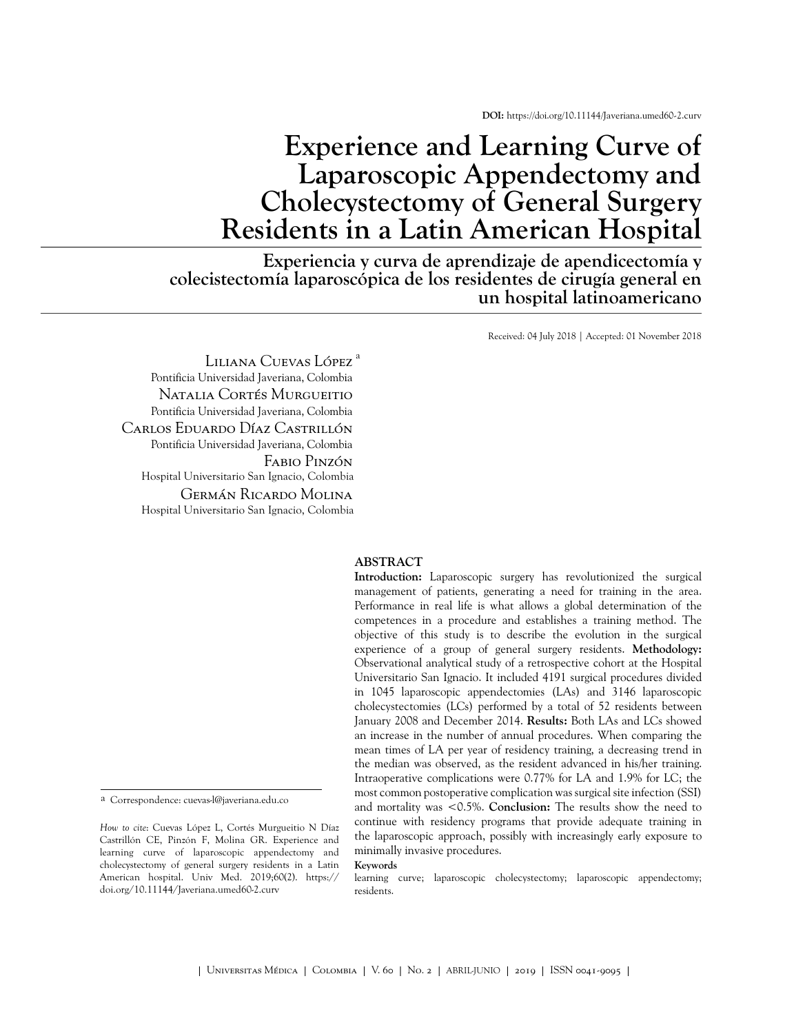# **Experience and Learning Curve of Laparoscopic Appendectomy and Cholecystectomy of General Surgery Residents in a Latin American Hospital**

**Experiencia y curva de aprendizaje de apendicectomía y colecistectomía laparoscópica de los residentes de cirugía general en un hospital latinoamericano**

Received: 04 July 2018 | Accepted: 01 November 2018

Liliana Cuevas López<sup>a</sup> Pontificia Universidad Javeriana, Colombia Natalia Cortés Murgueitio Pontificia Universidad Javeriana, Colombia Carlos Eduardo Díaz Castrillón Pontificia Universidad Javeriana, Colombia Fabio Pinzón Hospital Universitario San Ignacio, Colombia

Germán Ricardo Molina Hospital Universitario San Ignacio, Colombia

#### **ABSTRACT**

**Introduction:** Laparoscopic surgery has revolutionized the surgical management of patients, generating a need for training in the area. Performance in real life is what allows a global determination of the competences in a procedure and establishes a training method. The objective of this study is to describe the evolution in the surgical experience of a group of general surgery residents. **Methodology:**  Observational analytical study of a retrospective cohort at the Hospital Universitario San Ignacio. It included 4191 surgical procedures divided in 1045 laparoscopic appendectomies (LAs) and 3146 laparoscopic cholecystectomies (LCs) performed by a total of 52 residents between January 2008 and December 2014. **Results:** Both LAs and LCs showed an increase in the number of annual procedures. When comparing the mean times of LA per year of residency training, a decreasing trend in the median was observed, as the resident advanced in his/her training. Intraoperative complications were 0.77% for LA and 1.9% for LC; the most common postoperative complication was surgical site infection (SSI) and mortality was <0.5%. **Conclusion:** The results show the need to continue with residency programs that provide adequate training in the laparoscopic approach, possibly with increasingly early exposure to minimally invasive procedures.

**Keywords**

learning curve; laparoscopic cholecystectomy; laparoscopic appendectomy; residents.

a Correspondence: cuevas-l@javeriana.edu.co

*How to cite*: Cuevas López L, Cortés Murgueitio N Díaz Castrillón CE, Pinzón F, Molina GR. Experience and learning curve of laparoscopic appendectomy and cholecystectomy of general surgery residents in a Latin American hospital. Univ Med. 2019;60(2). https:// doi.org/10.11144/Javeriana.umed60-2.curv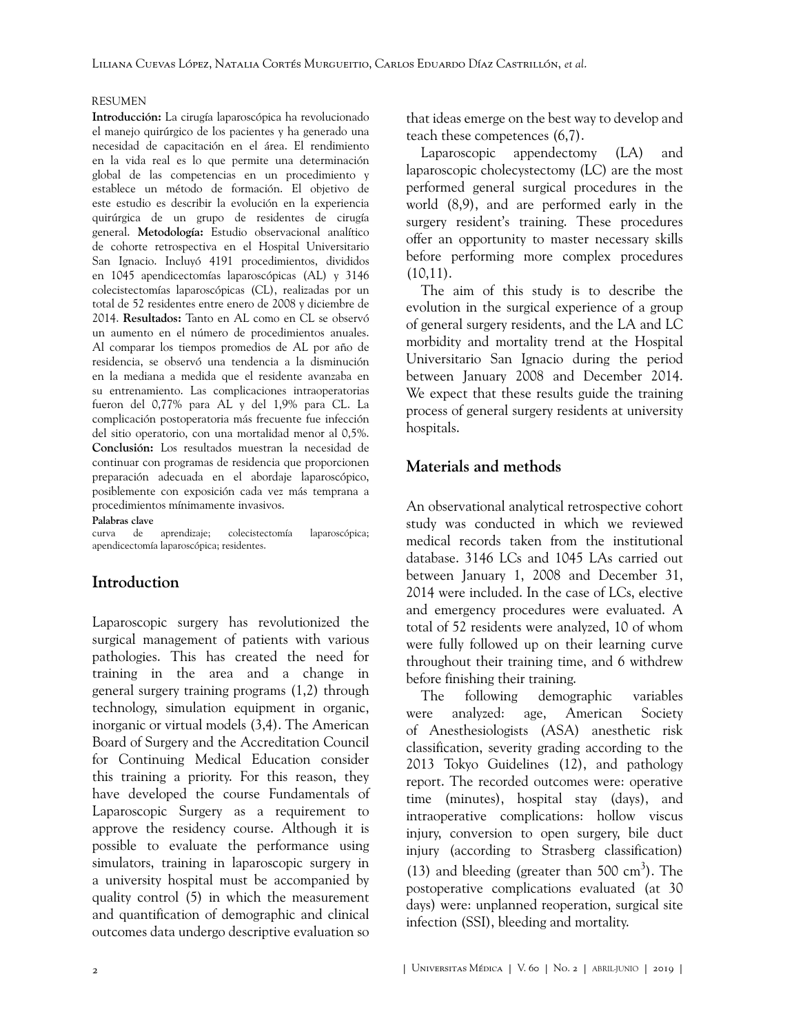#### RESUMEN

**Introducción:** La cirugía laparoscópica ha revolucionado el manejo quirúrgico de los pacientes y ha generado una necesidad de capacitación en el área. El rendimiento en la vida real es lo que permite una determinación global de las competencias en un procedimiento y establece un método de formación. El objetivo de este estudio es describir la evolución en la experiencia quirúrgica de un grupo de residentes de cirugía general. **Metodología:** Estudio observacional analítico de cohorte retrospectiva en el Hospital Universitario San Ignacio. Incluyó 4191 procedimientos, divididos en 1045 apendicectomías laparoscópicas (AL) y 3146 colecistectomías laparoscópicas (CL), realizadas por un total de 52 residentes entre enero de 2008 y diciembre de 2014. **Resultados:** Tanto en AL como en CL se observó un aumento en el número de procedimientos anuales. Al comparar los tiempos promedios de AL por año de residencia, se observó una tendencia a la disminución en la mediana a medida que el residente avanzaba en su entrenamiento. Las complicaciones intraoperatorias fueron del 0,77% para AL y del 1,9% para CL. La complicación postoperatoria más frecuente fue infección del sitio operatorio, con una mortalidad menor al 0,5%. **Conclusión:** Los resultados muestran la necesidad de continuar con programas de residencia que proporcionen preparación adecuada en el abordaje laparoscópico, posiblemente con exposición cada vez más temprana a procedimientos mínimamente invasivos.

**Palabras clave**

curva de aprendizaje; colecistectomía laparoscópica; apendicectomía laparoscópica; residentes.

# **Introduction**

Laparoscopic surgery has revolutionized the surgical management of patients with various pathologies. This has created the need for training in the area and a change in general surgery training programs [\(1,](#page-6-0)[2\)](#page-6-1) through technology, simulation equipment in organic, inorganic or virtual models ([3](#page-7-0),[4](#page-7-1)). The American Board of Surgery and the Accreditation Council for Continuing Medical Education consider this training a priority. For this reason, they have developed the course Fundamentals of Laparoscopic Surgery as a requirement to approve the residency course. Although it is possible to evaluate the performance using simulators, training in laparoscopic surgery in a university hospital must be accompanied by quality control [\(5\)](#page-7-2) in which the measurement and quantification of demographic and clinical outcomes data undergo descriptive evaluation so

that ideas emerge on the best way to develop and teach these competences [\(6](#page-7-3)[,7\)](#page-7-4).

Laparoscopic appendectomy (LA) and laparoscopic cholecystectomy (LC) are the most performed general surgical procedures in the world ([8](#page-7-5)[,9\)](#page-7-6), and are performed early in the surgery resident's training. These procedures offer an opportunity to master necessary skills before performing more complex procedures  $(10,11)$  $(10,11)$  $(10,11)$  $(10,11)$ .

The aim of this study is to describe the evolution in the surgical experience of a group of general surgery residents, and the LA and LC morbidity and mortality trend at the Hospital Universitario San Ignacio during the period between January 2008 and December 2014. We expect that these results guide the training process of general surgery residents at university hospitals.

# **Materials and methods**

An observational analytical retrospective cohort study was conducted in which we reviewed medical records taken from the institutional database. 3146 LCs and 1045 LAs carried out between January 1, 2008 and December 31, 2014 were included. In the case of LCs, elective and emergency procedures were evaluated. A total of 52 residents were analyzed, 10 of whom were fully followed up on their learning curve throughout their training time, and 6 withdrew before finishing their training.

The following demographic variables were analyzed: age, American Society of Anesthesiologists (ASA) anesthetic risk classification, severity grading according to the 2013 Tokyo Guidelines ([12\)](#page-7-9), and pathology report. The recorded outcomes were: operative time (minutes), hospital stay (days), and intraoperative complications: hollow viscus injury, conversion to open surgery, bile duct injury (according to Strasberg classification) ([13\)](#page-7-10) and bleeding (greater than  $500 \text{ cm}^3$ ). The postoperative complications evaluated (at 30 days) were: unplanned reoperation, surgical site infection (SSI), bleeding and mortality.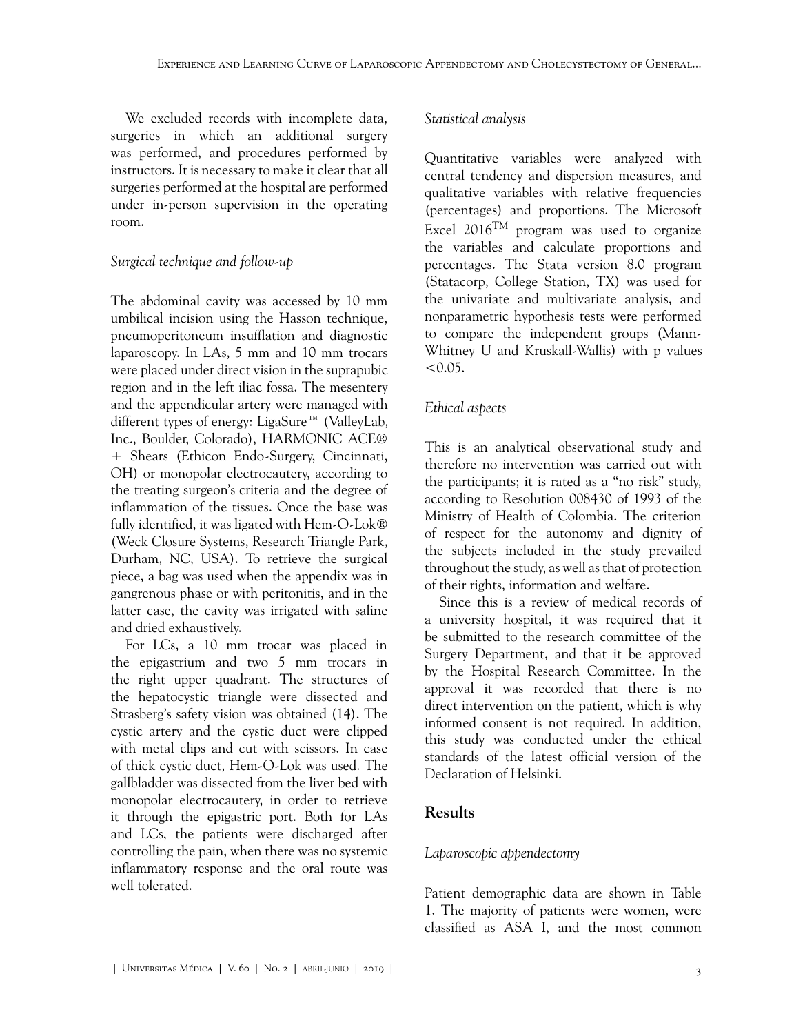We excluded records with incomplete data, surgeries in which an additional surgery was performed, and procedures performed by instructors. It is necessary to make it clear that all surgeries performed at the hospital are performed under in-person supervision in the operating room.

### *Surgical technique and follow-up*

The abdominal cavity was accessed by 10 mm umbilical incision using the Hasson technique, pneumoperitoneum insufflation and diagnostic laparoscopy. In LAs, 5 mm and 10 mm trocars were placed under direct vision in the suprapubic region and in the left iliac fossa. The mesentery and the appendicular artery were managed with different types of energy: LigaSure™ (ValleyLab, Inc., Boulder, Colorado), HARMONIC ACE® + Shears (Ethicon Endo-Surgery, Cincinnati, OH) or monopolar electrocautery, according to the treating surgeon's criteria and the degree of inflammation of the tissues. Once the base was fully identified, it was ligated with Hem-O-Lok® (Weck Closure Systems, Research Triangle Park, Durham, NC, USA). To retrieve the surgical piece, a bag was used when the appendix was in gangrenous phase or with peritonitis, and in the latter case, the cavity was irrigated with saline and dried exhaustively.

For LCs, a 10 mm trocar was placed in the epigastrium and two 5 mm trocars in the right upper quadrant. The structures of the hepatocystic triangle were dissected and Strasberg's safety vision was obtained [\(14](#page-7-11)). The cystic artery and the cystic duct were clipped with metal clips and cut with scissors. In case of thick cystic duct, Hem-O-Lok was used. The gallbladder was dissected from the liver bed with monopolar electrocautery, in order to retrieve it through the epigastric port. Both for LAs and LCs, the patients were discharged after controlling the pain, when there was no systemic inflammatory response and the oral route was well tolerated.

# *Statistical analysis*

Quantitative variables were analyzed with central tendency and dispersion measures, and qualitative variables with relative frequencies (percentages) and proportions. The Microsoft Excel  $2016^{TM}$  program was used to organize the variables and calculate proportions and percentages. The Stata version 8.0 program (Statacorp, College Station, TX) was used for the univariate and multivariate analysis, and nonparametric hypothesis tests were performed to compare the independent groups (Mann-Whitney U and Kruskall-Wallis) with p values  $< 0.05$ .

# *Ethical aspects*

This is an analytical observational study and therefore no intervention was carried out with the participants; it is rated as a "no risk" study, according to Resolution 008430 of 1993 of the Ministry of Health of Colombia. The criterion of respect for the autonomy and dignity of the subjects included in the study prevailed throughout the study, as well as that of protection of their rights, information and welfare.

Since this is a review of medical records of a university hospital, it was required that it be submitted to the research committee of the Surgery Department, and that it be approved by the Hospital Research Committee. In the approval it was recorded that there is no direct intervention on the patient, which is why informed consent is not required. In addition, this study was conducted under the ethical standards of the latest official version of the Declaration of Helsinki.

# **Results**

# *Laparoscopic appendectomy*

Patient demographic data are shown in [Table](#page-3-0) [1](#page-3-0). The majority of patients were women, were classified as ASA I, and the most common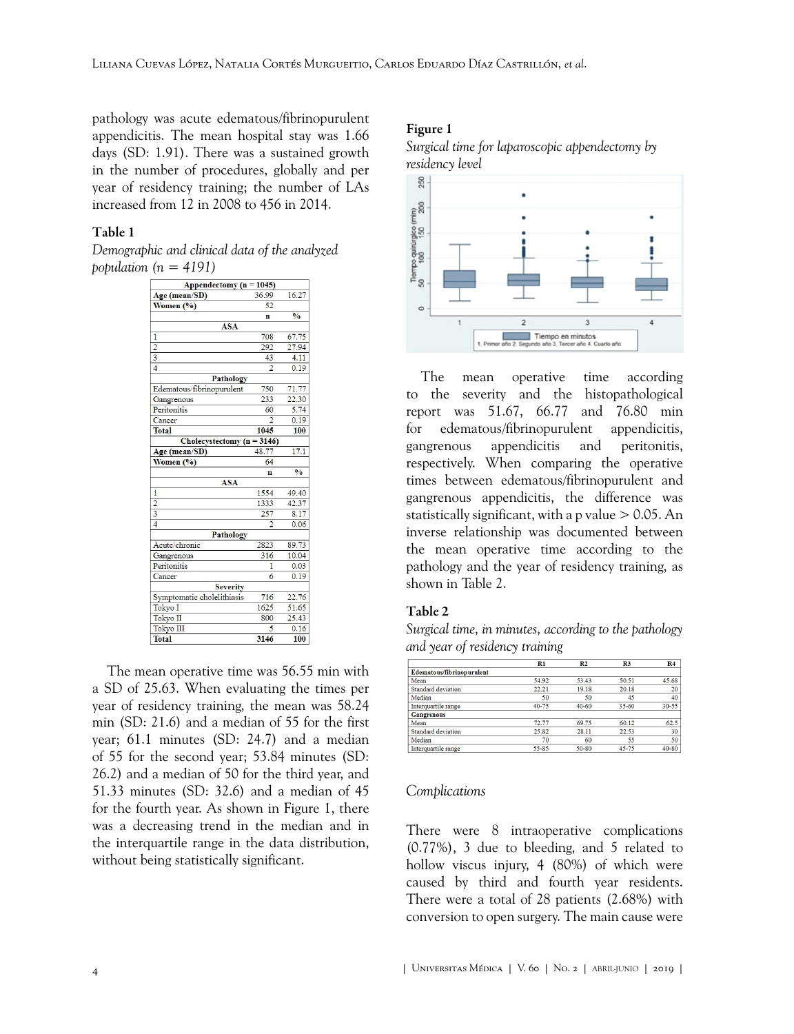pathology was acute edematous/fibrinopurulent appendicitis. The mean hospital stay was 1.66 days (SD: 1.91). There was a sustained growth in the number of procedures, globally and per year of residency training; the number of LAs increased from 12 in 2008 to 456 in 2014.

#### <span id="page-3-0"></span>Table 1

| Demographic and clinical data of the analyzed |  |  |
|-----------------------------------------------|--|--|
| population ( $n = 4191$ )                     |  |  |

| Appendectomy ( $n = 1045$ )    |                |                           |  |  |  |
|--------------------------------|----------------|---------------------------|--|--|--|
| Age (mean/SD)                  | 36.99          | 16.27                     |  |  |  |
| Women $(%)$                    | 52             |                           |  |  |  |
|                                | $\mathbf n$    | $\overline{\mathbf{0}}_0$ |  |  |  |
| <b>ASA</b>                     |                |                           |  |  |  |
| $\mathbf{1}$                   | 708            | 67.75                     |  |  |  |
| $\overline{2}$                 | 292            | 27.94                     |  |  |  |
| 3                              | 43             | 4.11                      |  |  |  |
| $\overline{4}$                 | $\overline{2}$ | 0.19                      |  |  |  |
| Pathology                      |                |                           |  |  |  |
| Edematous/fibrinopurulent      | 750            | 71.77                     |  |  |  |
| Gangrenous                     | 233            | 22.30                     |  |  |  |
| Peritonitis                    | 60             | 5.74                      |  |  |  |
| Cancer                         | $\overline{2}$ | 0.19                      |  |  |  |
| <b>Total</b>                   | 1045           | 100                       |  |  |  |
| Cholecystectomy ( $n = 3146$ ) |                |                           |  |  |  |
| Age (mean/SD)                  | 48.77          | 17.1                      |  |  |  |
| Women $(\%)$                   | 64             |                           |  |  |  |
|                                | n              | $\frac{0}{0}$             |  |  |  |
| <b>ASA</b>                     |                |                           |  |  |  |
| 1                              | 1554           | 49.40                     |  |  |  |
| $\frac{2}{3}$                  | 1333           | 42.37                     |  |  |  |
|                                | 257            | 8.17                      |  |  |  |
| $\overline{4}$                 | $\overline{c}$ | 0.06                      |  |  |  |
| Pathology                      |                |                           |  |  |  |
| Acute/chronic                  | 2823           | 89.73                     |  |  |  |
| Gangrenous                     | 316            | 10.04                     |  |  |  |
| Peritonitis                    | 1              | 0.03                      |  |  |  |
| Cancer                         | 6              | 0.19                      |  |  |  |
| <b>Severity</b>                |                |                           |  |  |  |
| Symptomatic cholelithiasis     | 716            | 22.76                     |  |  |  |
| Tokyo I                        | 1625           | 51.65                     |  |  |  |
| Tokyo II                       | 800            | 25.43                     |  |  |  |
| Tokyo III                      | 5              | 0.16                      |  |  |  |
| Total                          | 3146           | 100                       |  |  |  |

The mean operative time was 56.55 min with a SD of 25.63. When evaluating the times per year of residency training, the mean was 58.24 min (SD: 21.6) and a median of 55 for the first year; 61.1 minutes (SD: 24.7) and a median of 55 for the second year; 53.84 minutes (SD: 26.2) and a median of 50 for the third year, and 51.33 minutes (SD: 32.6) and a median of 45 for the fourth year. As shown in [Figure 1](#page-3-1), there was a decreasing trend in the median and in the interquartile range in the data distribution, without being statistically significant.

#### <span id="page-3-1"></span>Figure 1





The mean operative time according to the severity and the histopathological report was 51.67, 66.77 and 76.80 min for edematous/fibrinopurulent appendicitis, gangrenous appendicitis and peritonitis, respectively. When comparing the operative times between edematous/fibrinopurulent and gangrenous appendicitis, the difference was statistically significant, with a p value  $> 0.05$ . An inverse relationship was documented between the mean operative time according to the pathology and the year of residency training, as shown in [Table 2.](#page-3-2)

#### <span id="page-3-2"></span>Table 2

*Surgical time, in minutes, according to the pathology and year of residency training*

|                                  | $R1$      | R <sub>2</sub> | R <sub>3</sub> | R <sub>4</sub> |
|----------------------------------|-----------|----------------|----------------|----------------|
| <b>Edematous/fibrinopurulent</b> |           |                |                |                |
| Mean                             | 54.92     | 53.43          | 50.51          | 45.68          |
| Standard deviation               | 22.21     | 19.18          | 20.18          | 20             |
| Median                           | 50        | 50             | 45             | 40             |
| Interquartile range              | $40 - 75$ | $40 - 60$      | $35 - 60$      | $30 - 55$      |
| <b>Gangrenous</b>                |           |                |                |                |
| Mean                             | 72.77     | 69.75          | 60.12          | 62.5           |
| Standard deviation               | 25.82     | 28.11          | 22.53          | 30             |
| Median                           | 70        | 60             | 55             | 50             |
| Interquartile range              | $55 - 85$ | $50 - 80$      | $45 - 75$      | $40 - 80$      |

#### *Complications*

There were 8 intraoperative complications (0.77%), 3 due to bleeding, and 5 related to hollow viscus injury, 4 (80%) of which were caused by third and fourth year residents. There were a total of 28 patients (2.68%) with conversion to open surgery. The main cause were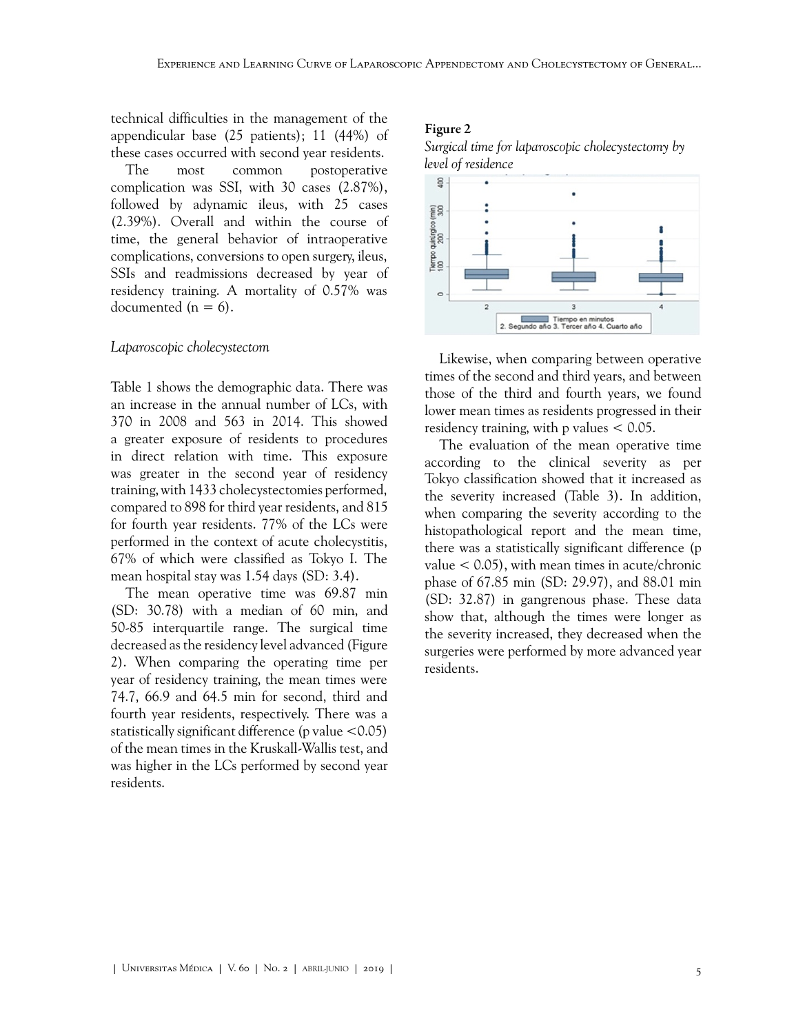technical difficulties in the management of the appendicular base (25 patients); 11 (44%) of these cases occurred with second year residents.

The most common postoperative complication was SSI, with 30 cases (2.87%), followed by adynamic ileus, with 25 cases (2.39%). Overall and within the course of time, the general behavior of intraoperative complications, conversions to open surgery, ileus, SSIs and readmissions decreased by year of residency training. A mortality of 0.57% was documented  $(n = 6)$ .

#### *Laparoscopic cholecystectom*

[Table 1](#page-3-0) shows the demographic data. There was an increase in the annual number of LCs, with 370 in 2008 and 563 in 2014. This showed a greater exposure of residents to procedures in direct relation with time. This exposure was greater in the second year of residency training,with 1433 cholecystectomies performed, compared to 898 for third year residents, and 815 for fourth year residents. 77% of the LCs were performed in the context of acute cholecystitis, 67% of which were classified as Tokyo I. The mean hospital stay was 1.54 days (SD: 3.4).

The mean operative time was 69.87 min (SD: 30.78) with a median of 60 min, and 50-85 interquartile range. The surgical time decreased as the residency level advanced [\(Figure](#page-4-0)  [2](#page-4-0)). When comparing the operating time per year of residency training, the mean times were 74.7, 66.9 and 64.5 min for second, third and fourth year residents, respectively. There was a statistically significant difference ( $p$  value  $< 0.05$ ) of the mean times in the Kruskall-Wallis test, and was higher in the LCs performed by second year residents.

#### <span id="page-4-0"></span>Figure 2





Likewise, when comparing between operative times of the second and third years, and between those of the third and fourth years, we found lower mean times as residents progressed in their residency training, with  $p$  values  $\lt$  0.05.

The evaluation of the mean operative time according to the clinical severity as per Tokyo classification showed that it increased as the severity increased ([Table 3](#page-5-0)). In addition, when comparing the severity according to the histopathological report and the mean time, there was a statistically significant difference (p value  $< 0.05$ ), with mean times in acute/chronic phase of 67.85 min (SD: 29.97), and 88.01 min (SD: 32.87) in gangrenous phase. These data show that, although the times were longer as the severity increased, they decreased when the surgeries were performed by more advanced year residents.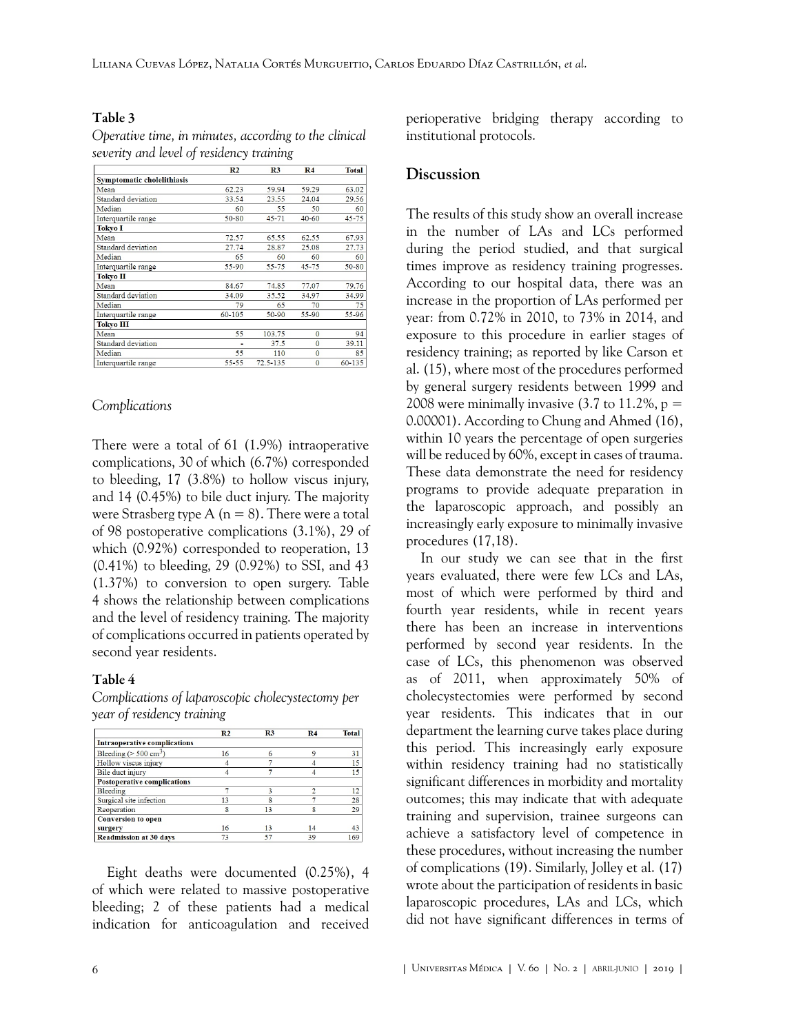Liliana Cuevas López, Natalia Cortés Murgueitio, Carlos Eduardo Díaz Castrillón, *et al*.

### <span id="page-5-0"></span>Table 3

*Operative time, in minutes, according to the clinical severity and level of residency training*

|                            | R <sub>2</sub> | R3        | R <sub>4</sub> | <b>Total</b> |
|----------------------------|----------------|-----------|----------------|--------------|
| Symptomatic cholelithiasis |                |           |                |              |
| Mean                       | 62.23          | 59.94     | 59.29          | 63.02        |
| Standard deviation         | 33.54          | 23.55     | 24.04          | 29.56        |
| Median                     | 60             | 55        | 50             | 60           |
| Interquartile range        | $50 - 80$      | $45 - 71$ | $40 - 60$      | $45 - 75$    |
| <b>Tokyo I</b>             |                |           |                |              |
| Mean                       | 72.57          | 65.55     | 62.55          | 67.93        |
| Standard deviation         | 27.74          | 28.87     | 25.08          | 27.73        |
| Median                     | 65             | 60        | 60             | 60           |
| Interquartile range        | 55-90          | 55-75     | $45 - 75$      | $50 - 80$    |
| <b>Tokyo II</b>            |                |           |                |              |
| Mean                       | 84.67          | 74.85     | 77.07          | 79.76        |
| Standard deviation         | 34.09          | 35.52     | 34.97          | 34.99        |
| Median                     | 79             | 65        | 70             | 75           |
| Interquartile range        | 60-105         | 50-90     | 55-90          | 55-96        |
| <b>Tokyo III</b>           |                |           |                |              |
| Mean                       | 55             | 103.75    | $\Omega$       | 94           |
| Standard deviation         |                | 37.5      | $\Omega$       | 39.11        |
| Median                     | 55             | 110       | $\mathbf{0}$   | 85           |
| Interquartile range        | $55 - 55$      | 72.5-135  | $\bf{0}$       | $60 - 135$   |

#### *Complications*

There were a total of 61 (1.9%) intraoperative complications, 30 of which (6.7%) corresponded to bleeding, 17 (3.8%) to hollow viscus injury, and 14 (0.45%) to bile duct injury. The majority were Strasberg type A ( $n = 8$ ). There were a total of 98 postoperative complications (3.1%), 29 of which (0.92%) corresponded to reoperation, 13 (0.41%) to bleeding, 29 (0.92%) to SSI, and 43 (1.37%) to conversion to open surgery. [Table](#page-5-1) [4](#page-5-1) shows the relationship between complications and the level of residency training. The majority of complications occurred in patients operated by second year residents.

#### <span id="page-5-1"></span>Table 4

*Complications of laparoscopic cholecystectomy per year of residency training*

|                                     | R <sub>2</sub> | R <sub>3</sub> | R <sub>4</sub> | <b>Total</b> |
|-------------------------------------|----------------|----------------|----------------|--------------|
| <b>Intraoperative complications</b> |                |                |                |              |
| Bleeding ( $> 500 \text{ cm}^3$ )   | 16             |                |                | 31           |
| Hollow viscus injury                |                |                |                | 15           |
| Bile duct injury                    |                |                |                | 15           |
| <b>Postoperative complications</b>  |                |                |                |              |
| Bleeding                            |                |                |                | 12           |
| Surgical site infection             | 13             |                |                | 28           |
| Reoperation                         |                | 13             |                | 29           |
| <b>Conversion</b> to open           |                |                |                |              |
| surgery                             | 16             | 13             | 14             | 43           |
| <b>Readmission at 30 days</b>       | 73             | 57             | 39             | 169          |

Eight deaths were documented (0.25%), 4 of which were related to massive postoperative bleeding; 2 of these patients had a medical indication for anticoagulation and received perioperative bridging therapy according to institutional protocols.

#### **Discussion**

The results of this study show an overall increase in the number of LAs and LCs performed during the period studied, and that surgical times improve as residency training progresses. According to our hospital data, there was an increase in the proportion of LAs performed per year: from 0.72% in 2010, to 73% in 2014, and exposure to this procedure in earlier stages of residency training; as reported by like Carson et al. ([15\)](#page-8-0), where most of the procedures performed by general surgery residents between 1999 and 2008 were minimally invasive  $(3.7 \text{ to } 11.2\% , p =$ 0.00001). According to Chung and Ahmed ([16\)](#page-8-1), within 10 years the percentage of open surgeries will be reduced by 60%, except in cases of trauma. These data demonstrate the need for residency programs to provide adequate preparation in the laparoscopic approach, and possibly an increasingly early exposure to minimally invasive procedures [\(17](#page-8-2)[,18\)](#page-8-3).

In our study we can see that in the first years evaluated, there were few LCs and LAs, most of which were performed by third and fourth year residents, while in recent years there has been an increase in interventions performed by second year residents. In the case of LCs, this phenomenon was observed as of 2011, when approximately 50% of cholecystectomies were performed by second year residents. This indicates that in our department the learning curve takes place during this period. This increasingly early exposure within residency training had no statistically significant differences in morbidity and mortality outcomes; this may indicate that with adequate training and supervision, trainee surgeons can achieve a satisfactory level of competence in these procedures, without increasing the number of complications ([19\)](#page-8-4). Similarly, Jolley et al. [\(17](#page-8-2)) wrote about the participation of residents in basic laparoscopic procedures, LAs and LCs, which did not have significant differences in terms of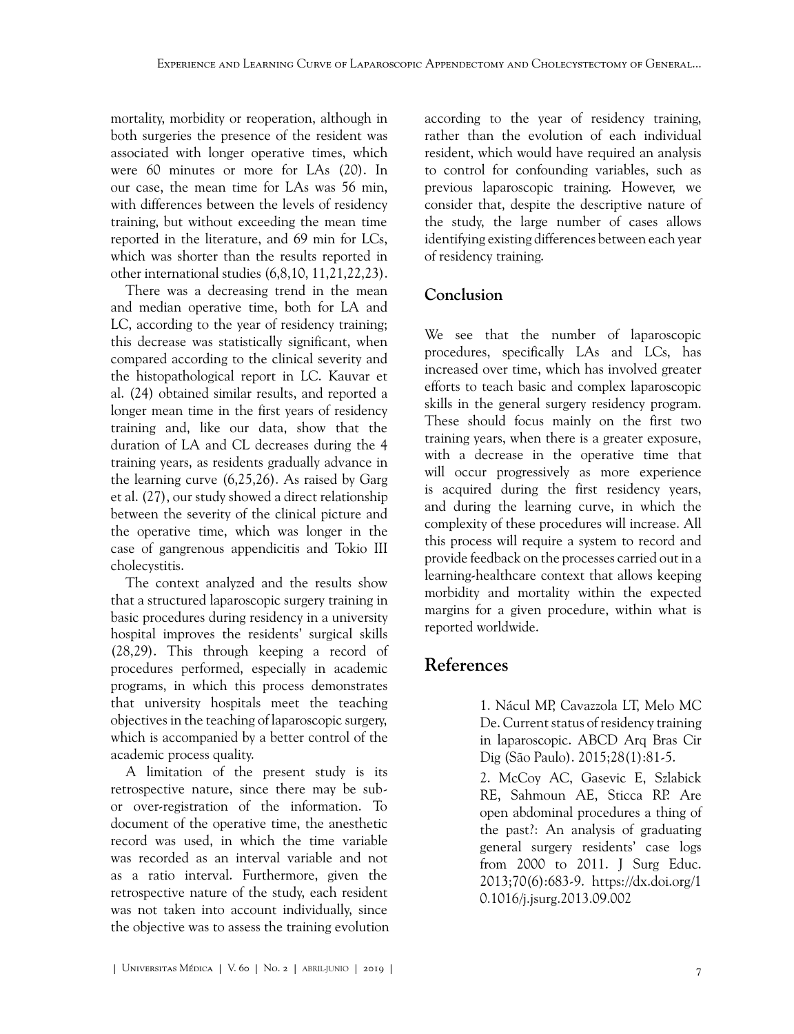mortality, morbidity or reoperation, although in both surgeries the presence of the resident was associated with longer operative times, which were 60 minutes or more for LAs ([20\)](#page-8-5). In our case, the mean time for LAs was 56 min, with differences between the levels of residency training, but without exceeding the mean time reported in the literature, and 69 min for LCs, which was shorter than the results reported in other international studies ([6](#page-7-3)[,8,](#page-7-5)[10](#page-7-7), [11](#page-7-8),[21](#page-8-6)[,22](#page-8-7)[,23\)](#page-8-8).

There was a decreasing trend in the mean and median operative time, both for LA and LC, according to the year of residency training; this decrease was statistically significant, when compared according to the clinical severity and the histopathological report in LC. Kauvar et al. [\(24](#page-8-9)) obtained similar results, and reported a longer mean time in the first years of residency training and, like our data, show that the duration of LA and CL decreases during the 4 training years, as residents gradually advance in the learning curve ([6](#page-7-3),[25](#page-8-10)[,26](#page-8-11)). As raised by Garg et al. ([27\)](#page-9-0), our study showed a direct relationship between the severity of the clinical picture and the operative time, which was longer in the case of gangrenous appendicitis and Tokio III cholecystitis.

The context analyzed and the results show that a structured laparoscopic surgery training in basic procedures during residency in a university hospital improves the residents' surgical skills [\(28,](#page-9-1)[29\)](#page-9-2). This through keeping a record of procedures performed, especially in academic programs, in which this process demonstrates that university hospitals meet the teaching objectives in the teaching of laparoscopic surgery, which is accompanied by a better control of the academic process quality.

A limitation of the present study is its retrospective nature, since there may be subor over-registration of the information. To document of the operative time, the anesthetic record was used, in which the time variable was recorded as an interval variable and not as a ratio interval. Furthermore, given the retrospective nature of the study, each resident was not taken into account individually, since the objective was to assess the training evolution according to the year of residency training, rather than the evolution of each individual resident, which would have required an analysis to control for confounding variables, such as previous laparoscopic training. However, we consider that, despite the descriptive nature of the study, the large number of cases allows identifying existing differences between each year of residency training.

# **Conclusion**

We see that the number of laparoscopic procedures, specifically LAs and LCs, has increased over time, which has involved greater efforts to teach basic and complex laparoscopic skills in the general surgery residency program. These should focus mainly on the first two training years, when there is a greater exposure, with a decrease in the operative time that will occur progressively as more experience is acquired during the first residency years, and during the learning curve, in which the complexity of these procedures will increase. All this process will require a system to record and provide feedback on the processes carried out in a learning-healthcare context that allows keeping morbidity and mortality within the expected margins for a given procedure, within what is reported worldwide.

# <span id="page-6-0"></span>**References**

1. Nácul MP, Cavazzola LT, Melo MC De. Current status of residency training in laparoscopic. ABCD Arq Bras Cir Dig (São Paulo). 2015;28(1):81-5.

<span id="page-6-1"></span>2. McCoy AC, Gasevic E, Szlabick RE, Sahmoun AE, Sticca RP. Are open abdominal procedures a thing of the past?: An analysis of graduating general surgery residents' case logs from 2000 to 2011. J Surg Educ. 2013;70(6):683-9. [https://dx.doi.org/1](https://dx.doi.org/10.1016/j.jsurg.2013.09.002) [0.1016/j.jsurg.2013.09.002](https://dx.doi.org/10.1016/j.jsurg.2013.09.002)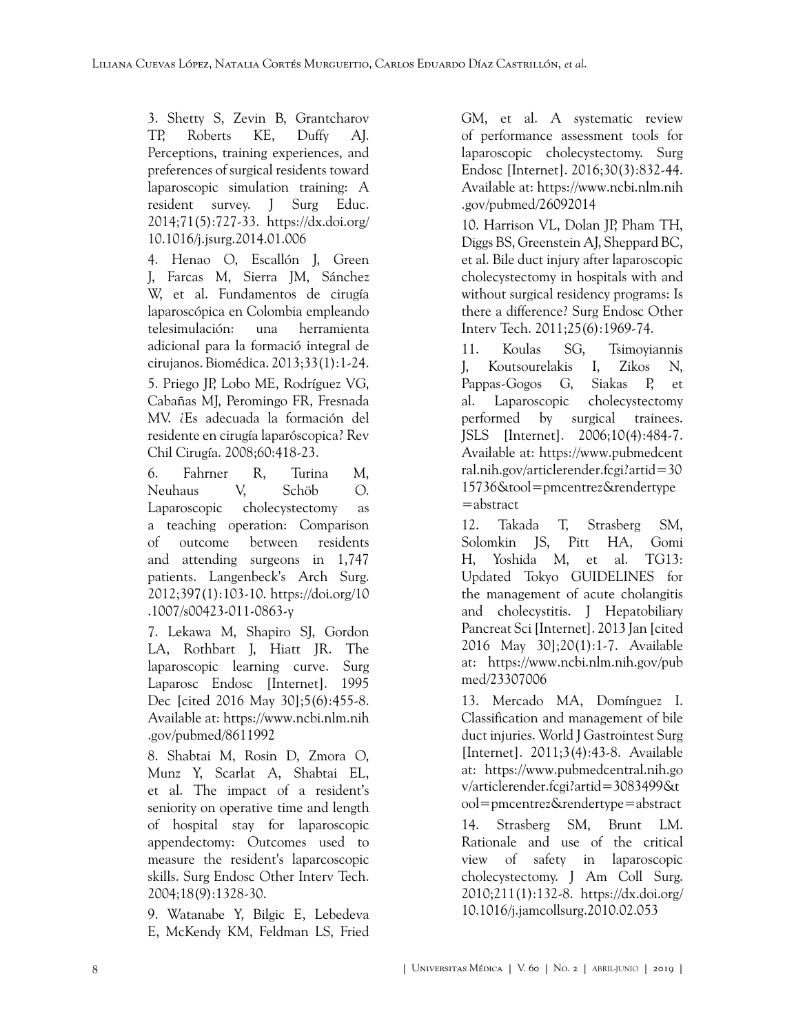<span id="page-7-0"></span>3. Shetty S, Zevin B, Grantcharov TP, Roberts KE, Duffy AJ. Perceptions, training experiences, and preferences of surgical residents toward laparoscopic simulation training: A resident survey. J Surg Educ. 2014;71(5):727-33. [https://dx.doi.org/](https://dx.doi.org/10.1016/j.jsurg.2014.01.006) [10.1016/j.jsurg.2014.01.006](https://dx.doi.org/10.1016/j.jsurg.2014.01.006)

<span id="page-7-1"></span>4. Henao O, Escallón J, Green J, Farcas M, Sierra JM, Sánchez W, et al. Fundamentos de cirugía laparoscópica en Colombia empleando telesimulación: una herramienta adicional para la formació integral de cirujanos. Biomédica. 2013;33(1):1-24.

<span id="page-7-2"></span>5. Priego JP, Lobo ME, Rodríguez VG, Cabañas MJ, Peromingo FR, Fresnada MV. ¿Es adecuada la formación del residente en cirugía laparóscopica? Rev Chil Cirugía. 2008;60:418-23.

<span id="page-7-3"></span>6. Fahrner R, Turina M, Neuhaus V, Schöb O. Laparoscopic cholecystectomy as a teaching operation: Comparison of outcome between residents and attending surgeons in 1,747 patients. Langenbeck's Arch Surg. 2012;397(1):103-10. [https://doi.org/10](https://doi.org/10.1007/s00423-011-0863-y) [.1007/s00423-011-0863-y](https://doi.org/10.1007/s00423-011-0863-y)

<span id="page-7-4"></span>7. Lekawa M, Shapiro SJ, Gordon LA, Rothbart J, Hiatt JR. The laparoscopic learning curve. Surg Laparosc Endosc [Internet]. 1995 Dec [cited 2016 May 30];5(6):455-8. Available at: [https://www.ncbi.nlm.nih](https://www.ncbi.nlm.nih.gov/pubmed/8611992) [.gov/pubmed/8611992](https://www.ncbi.nlm.nih.gov/pubmed/8611992)

<span id="page-7-5"></span>8. Shabtai M, Rosin D, Zmora O, Munz Y, Scarlat A, Shabtai EL, et al. The impact of a resident's seniority on operative time and length of hospital stay for laparoscopic appendectomy: Outcomes used to measure the resident's laparcoscopic skills. Surg Endosc Other Interv Tech. 2004;18(9):1328-30.

<span id="page-7-6"></span>9. Watanabe Y, Bilgic E, Lebedeva E, McKendy KM, Feldman LS, Fried

GM, et al. A systematic review of performance assessment tools for laparoscopic cholecystectomy. Surg Endosc [Internet]. 2016;30(3):832-44. Available at: [https://www.ncbi.nlm.nih](https://www.ncbi.nlm.nih.gov/pubmed/26092014) [.gov/pubmed/26092014](https://www.ncbi.nlm.nih.gov/pubmed/26092014)

<span id="page-7-7"></span>10. Harrison VL, Dolan JP, Pham TH, Diggs BS, Greenstein AJ, Sheppard BC, et al. Bile duct injury after laparoscopic cholecystectomy in hospitals with and without surgical residency programs: Is there a difference? Surg Endosc Other Interv Tech. 2011;25(6):1969-74.

<span id="page-7-8"></span>11. Koulas SG, Tsimoyiannis J, Koutsourelakis I, Zikos N, Pappas-Gogos G, Siakas P, et al. Laparoscopic cholecystectomy performed by surgical trainees. JSLS [Internet]. 2006;10(4):484-7. Available at: [https://www.pubmedcent](https://www.pubmedcentral.nih.gov/articlerender.fcgi?artid=3015736&tool=pmcentrez&rendertype=abstract) [ral.nih.gov/articlerender.fcgi?artid=30](https://www.pubmedcentral.nih.gov/articlerender.fcgi?artid=3015736&tool=pmcentrez&rendertype=abstract) [15736&tool=pmcentrez&rendertype](https://www.pubmedcentral.nih.gov/articlerender.fcgi?artid=3015736&tool=pmcentrez&rendertype=abstract) [=abstract](https://www.pubmedcentral.nih.gov/articlerender.fcgi?artid=3015736&tool=pmcentrez&rendertype=abstract)

<span id="page-7-9"></span>12. Takada T, Strasberg SM, Solomkin JS, Pitt HA, Gomi H, Yoshida M, et al. TG13: Updated Tokyo GUIDELINES for the management of acute cholangitis and cholecystitis. J Hepatobiliary Pancreat Sci [Internet]. 2013 Jan [cited 2016 May 30];20(1):1-7. Available at: [https://www.ncbi.nlm.nih.gov/pub](https://www.ncbi.nlm.nih.gov/pubmed/23307006) [med/23307006](https://www.ncbi.nlm.nih.gov/pubmed/23307006)

<span id="page-7-11"></span><span id="page-7-10"></span>13. Mercado MA, Domínguez I. Classification and management of bile duct injuries. World J Gastrointest Surg [Internet]. 2011;3(4):43-8. Available at: [https://www.pubmedcentral.nih.go](https://www.pubmedcentral.nih.gov/articlerender.fcgi?artid=3083499&tool=pmcentrez&rendertype=abstract) [v/articlerender.fcgi?artid=3083499&t](https://www.pubmedcentral.nih.gov/articlerender.fcgi?artid=3083499&tool=pmcentrez&rendertype=abstract) [ool=pmcentrez&rendertype=abstract](https://www.pubmedcentral.nih.gov/articlerender.fcgi?artid=3083499&tool=pmcentrez&rendertype=abstract) 14. Strasberg SM, Brunt LM. Rationale and use of the critical view of safety in laparoscopic cholecystectomy. J Am Coll Surg. 2010;211(1):132-8. [https://dx.doi.org/](https://dx.doi.org/10.1016/j.jamcollsurg.2010.02.053) [10.1016/j.jamcollsurg.2010.02.053](https://dx.doi.org/10.1016/j.jamcollsurg.2010.02.053)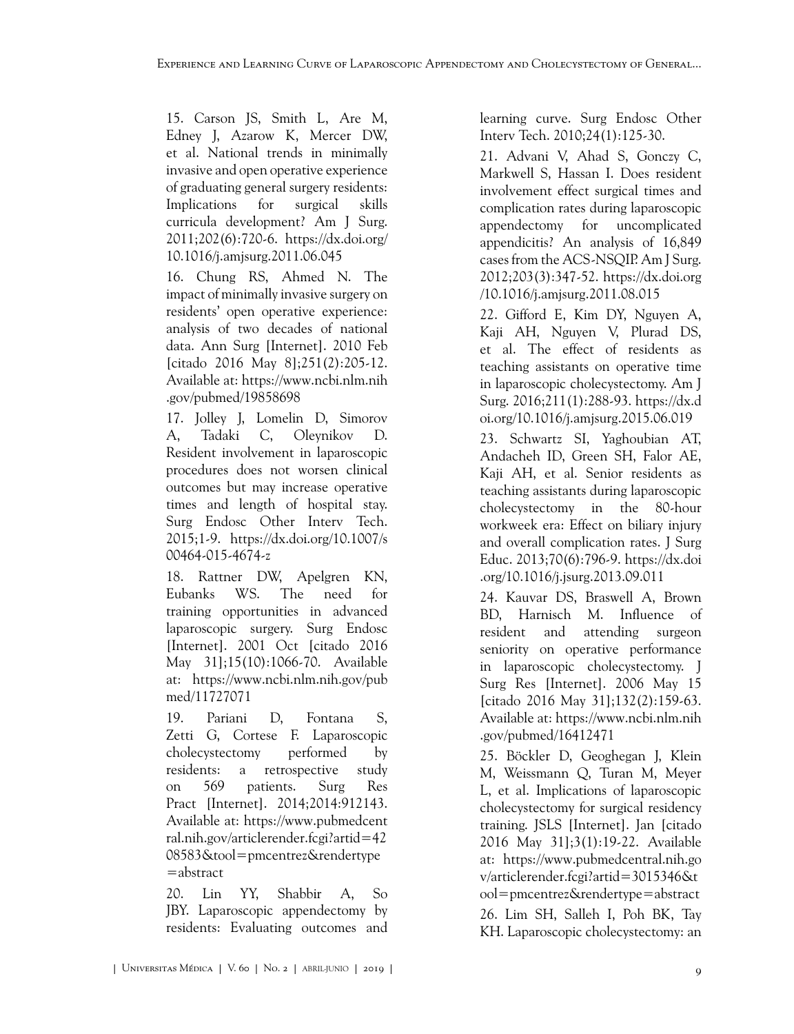<span id="page-8-0"></span>15. Carson JS, Smith L, Are M, Edney J, Azarow K, Mercer DW, et al. National trends in minimally invasive and open operative experience of graduating general surgery residents: Implications for surgical skills curricula development? Am J Surg. 2011;202(6):720-6. [https://dx.doi.org/](https://dx.doi.org/10.1016/j.amjsurg.2011.06.045) [10.1016/j.amjsurg.2011.06.045](https://dx.doi.org/10.1016/j.amjsurg.2011.06.045)

<span id="page-8-1"></span>16. Chung RS, Ahmed N. The impact of minimally invasive surgery on residents' open operative experience: analysis of two decades of national data. Ann Surg [Internet]. 2010 Feb [citado 2016 May 8];251(2):205-12. Available at: [https://www.ncbi.nlm.nih](https://www.ncbi.nlm.nih.gov/pubmed/19858698) [.gov/pubmed/19858698](https://www.ncbi.nlm.nih.gov/pubmed/19858698)

<span id="page-8-2"></span>17. Jolley J, Lomelin D, Simorov A, Tadaki C, Oleynikov D. Resident involvement in laparoscopic procedures does not worsen clinical outcomes but may increase operative times and length of hospital stay. Surg Endosc Other Interv Tech. 2015;1-9. [https://dx.doi.org/10.1007/s](https://dx.doi.org/10.1007/s00464-015-4674-z) [00464-015-4674-z](https://dx.doi.org/10.1007/s00464-015-4674-z)

<span id="page-8-3"></span>18. Rattner DW, Apelgren KN, Eubanks WS. The need for training opportunities in advanced laparoscopic surgery. Surg Endosc [Internet]. 2001 Oct [citado 2016 May 31];15(10):1066-70. Available at: [https://www.ncbi.nlm.nih.gov/pub](https://www.ncbi.nlm.nih.gov/pubmed/11727071) [med/11727071](https://www.ncbi.nlm.nih.gov/pubmed/11727071)

<span id="page-8-4"></span>19. Pariani D, Fontana S, Zetti G, Cortese F. Laparoscopic cholecystectomy performed by residents: a retrospective study on 569 patients. Surg Res Pract [Internet]. 2014;2014:912143. Available at: [https://www.pubmedcent](https://www.pubmedcentral.nih.gov/articlerender.fcgi?artid=4208583&tool=pmcentrez&rendertype=abstract) [ral.nih.gov/articlerender.fcgi?artid=42](https://www.pubmedcentral.nih.gov/articlerender.fcgi?artid=4208583&tool=pmcentrez&rendertype=abstract) [08583&tool=pmcentrez&rendertype](https://www.pubmedcentral.nih.gov/articlerender.fcgi?artid=4208583&tool=pmcentrez&rendertype=abstract) [=abstract](https://www.pubmedcentral.nih.gov/articlerender.fcgi?artid=4208583&tool=pmcentrez&rendertype=abstract)

<span id="page-8-5"></span>20. Lin YY, Shabbir A, So JBY. Laparoscopic appendectomy by residents: Evaluating outcomes and learning curve. Surg Endosc Other Interv Tech. 2010;24(1):125-30.

<span id="page-8-6"></span>21. Advani V, Ahad S, Gonczy C, Markwell S, Hassan I. Does resident involvement effect surgical times and complication rates during laparoscopic appendectomy for uncomplicated appendicitis? An analysis of 16,849 cases from the ACS-NSQIP. Am J Surg. 2012;203(3):347-52. [https://dx.doi.org](https://dx.doi.org/10.1016/j.amjsurg.2011.08.015) [/10.1016/j.amjsurg.2011.08.015](https://dx.doi.org/10.1016/j.amjsurg.2011.08.015)

<span id="page-8-7"></span>22. Gifford E, Kim DY, Nguyen A, Kaji AH, Nguyen V, Plurad DS, et al. The effect of residents as teaching assistants on operative time in laparoscopic cholecystectomy. Am J Surg. 2016;211(1):288-93. [https://dx.d](https://dx.doi.org/10.1016/j.amjsurg.2015.06.019) [oi.org/10.1016/j.amjsurg.2015.06.019](https://dx.doi.org/10.1016/j.amjsurg.2015.06.019)

<span id="page-8-8"></span>23. Schwartz SI, Yaghoubian AT, Andacheh ID, Green SH, Falor AE, Kaji AH, et al. Senior residents as teaching assistants during laparoscopic cholecystectomy in the 80-hour workweek era: Effect on biliary injury and overall complication rates. J Surg Educ. 2013;70(6):796-9. [https://dx.doi](https://dx.doi.org/10.1016/j.jsurg.2013.09.011) [.org/10.1016/j.jsurg.2013.09.011](https://dx.doi.org/10.1016/j.jsurg.2013.09.011)

<span id="page-8-9"></span>24. Kauvar DS, Braswell A, Brown BD, Harnisch M. Influence of resident and attending surgeon seniority on operative performance in laparoscopic cholecystectomy. J Surg Res [Internet]. 2006 May 15 [citado 2016 May 31];132(2):159-63. Available at: [https://www.ncbi.nlm.nih](https://www.ncbi.nlm.nih.gov/pubmed/16412471) [.gov/pubmed/16412471](https://www.ncbi.nlm.nih.gov/pubmed/16412471)

<span id="page-8-11"></span><span id="page-8-10"></span>25. Böckler D, Geoghegan J, Klein M, Weissmann Q, Turan M, Meyer L, et al. Implications of laparoscopic cholecystectomy for surgical residency training. JSLS [Internet]. Jan [citado 2016 May 31];3(1):19-22. Available at: [https://www.pubmedcentral.nih.go](https://www.pubmedcentral.nih.gov/articlerender.fcgi?artid=3015346&tool=pmcentrez&rendertype=abstract) [v/articlerender.fcgi?artid=3015346&t](https://www.pubmedcentral.nih.gov/articlerender.fcgi?artid=3015346&tool=pmcentrez&rendertype=abstract) [ool=pmcentrez&rendertype=abstract](https://www.pubmedcentral.nih.gov/articlerender.fcgi?artid=3015346&tool=pmcentrez&rendertype=abstract) 26. Lim SH, Salleh I, Poh BK, Tay KH. Laparoscopic cholecystectomy: an